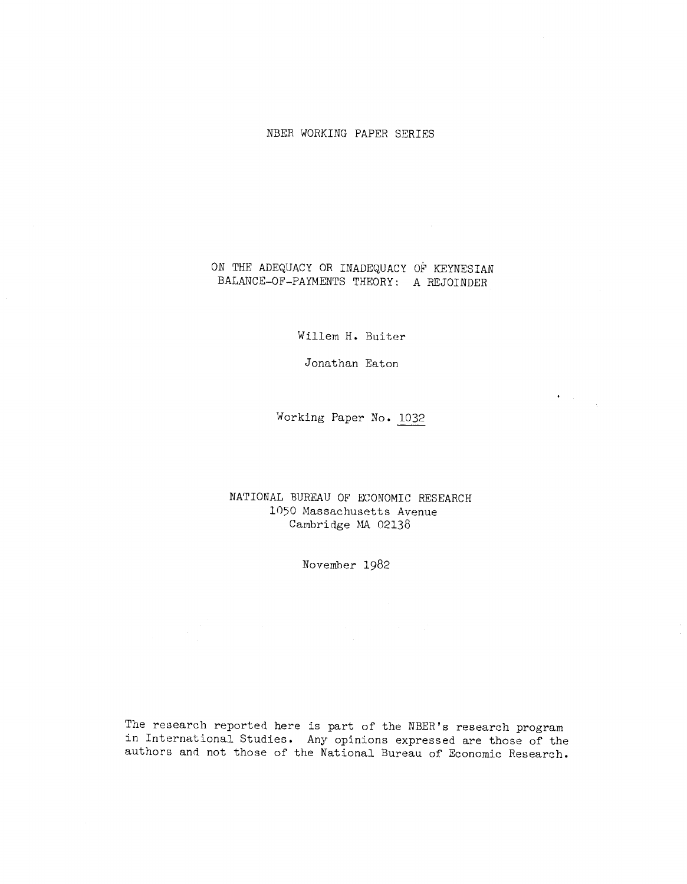## NBER WORKING PAPER SERIES

## ON THE ADEQUACY OR INADEQUACY OF KEYNESIAN BALANCE—OF—PAYMENTS THEORY: A REJOINDER

Willem H. Buiter

Jonathan Eaton

Working Paper No. 1032

 $\bullet$  -  $\sim$   $\sim$ 

NATIONAL BUREAU OF ECONOMIC RESEARCH 1050 Massachusetts Avenue Cambridge MA 02138

November 1982

The research reported here is part of the NBER's research program in International Studies. Any opinions expressed are those of the authors and not those of the National Bureau of Economic Research.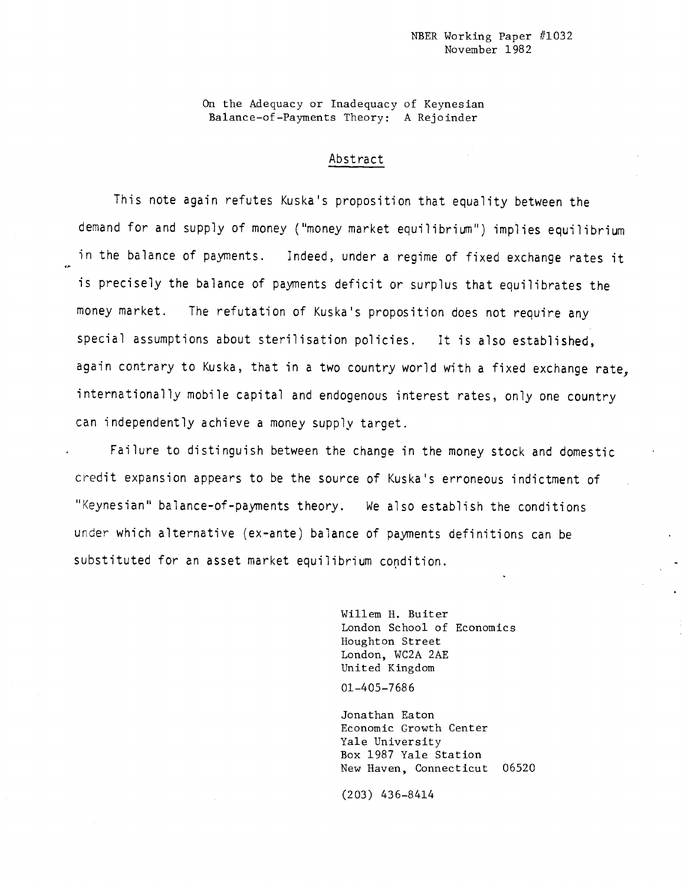On the Adequacy or Inadequacy of Keynesian Balance—of--Payments Theory: A Rejoinder

# Abstract

This note again refutes Kuska's proposition that equality between the demand for and supply of money ("money market equilibrium') implies equilibrium in the balance of payments. Indeed, under a regime of fixed exchange rates it is precisely the balance of payments deficit or surplus that equilibrates the money market. The refutation of Kuska's proposition does not require any special assumptions about sterilisation policies. It is also established, again contrary to Kuska, that in a two country world with a fixed exchange rate, internationally mobile capital and endogenous interest rates, only one country can independently achieve a money supply target.

Failure to distinguish between the change in the money stock and domestic credit expansion appears to be the source of Kuska's erroneous indictment of "Keynesian" balance—of—payments theory. We also establish the conditions under which alternative (ex-ante) balance of payments definitions can be substituted for an asset market equilibrium condition.

> Willem H. Buiter London School of Economics Houghton Street London, WC2A 2AE United Kingdom

01—405—7 68 6

Jonathan Eaton Economic Growth Center Yale University Box 1987 Yale Station New Haven, Connecticut 06520

(203) 436—8414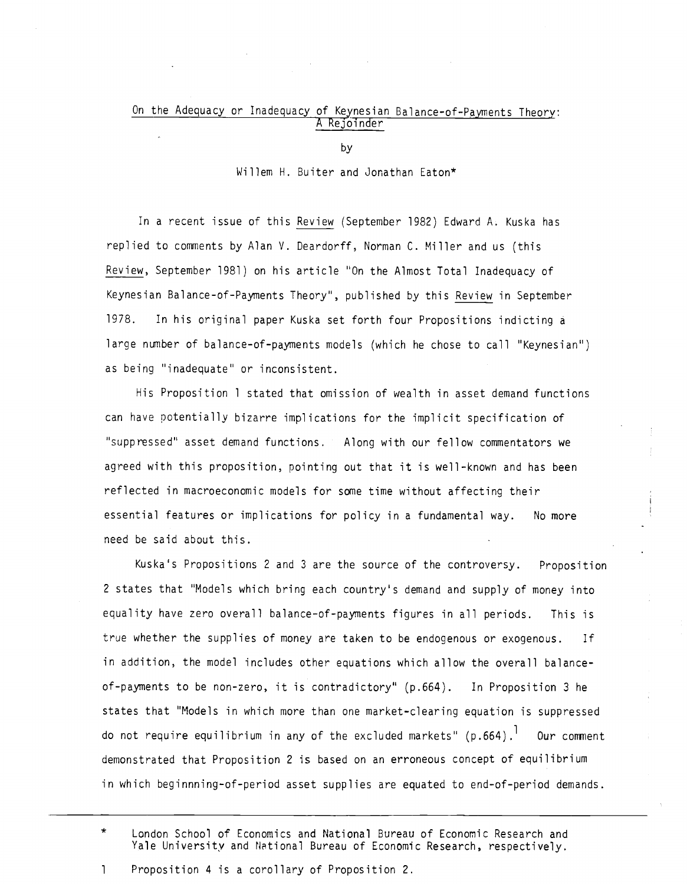## On the Adequacy or Inadequacy of Keynesian Balance-of-Payments Theory: A Rejoinder

by

Willem H. Buiter and Jonathan Eaton\*

In a recent issue of this Review (September 1982) Edward A. Kuska has replied to comments by Alan V. Deardorff, Norman C. Miller and us (this Review, September 1981) on his article 'On the Almost Total Inadequacy of Keynesian Balance—of-Payments Theory", published by this Review in September 1978. In his original paper Kuska set forth four Propositions indicting a large number of balance-of-payments models (which he chose to call "Keynesian") as being "inadequate" or inconsistent.

His Proposition 1 stated that omission of wealth in asset demand functions can have potentially bizarre implications for the implicit specification of "suppressed" asset demand functions. Along with our fellow commentators we agreed with this proposition, pointing out that it is well-known and has been reflected in macroeconomic models for some time without affecting their essential features or implications for policy in a fundamental way. No more need be said about this.

Kuska's Propositions 2 and 3 are the source of the controversy. Proposition 2 states that "Models which bring each country's demand and supply of money into equality have zero overall balance—of-payments figures in all periods. This is true whether the supplies of money are taken to be endogenous or exogenous. If in addition, the model includes other equations which allow the overall balanceof-payments to be non-zero, it is contradictory" (p.664). In Proposition 3 he states that "Models in which more than one market—clearing equation is suppressed do not require equilibrium in any of the excluded markets"  $(p.664)$ . Our comment demonstrated that Proposition 2 is based on an erroneous concept of equilibrium in which beginnning-of-period asset supplies are equated to end-of—period demands.

<sup>\*</sup> London School of Economics and National Bureau of Economic Research and Yale University and National Bureau of Economic Research, respectively.

<sup>1</sup> Proposition 4 is a corollary of Proposition 2.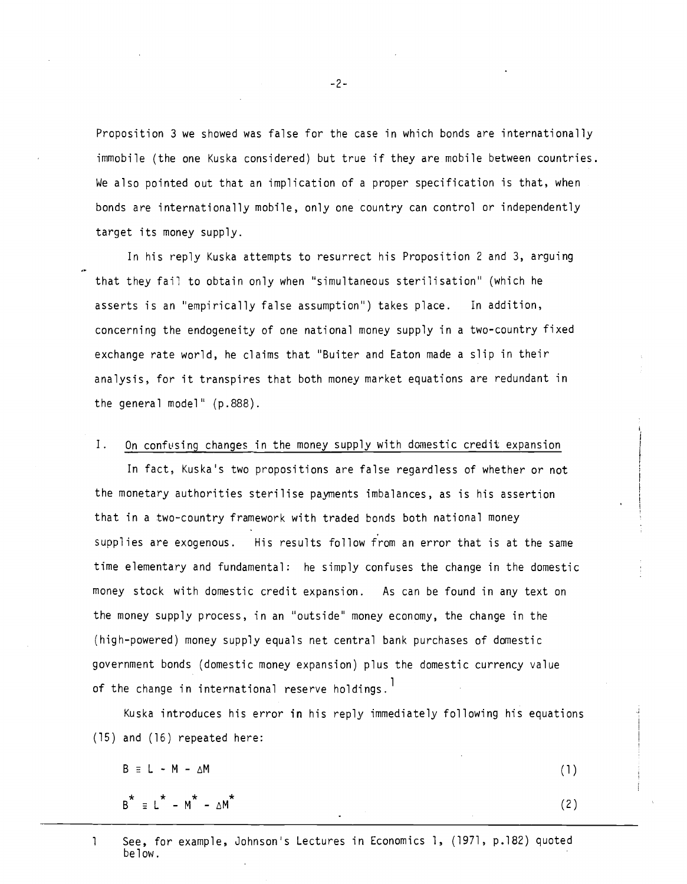Proposition 3 we showed was false for the case in which bonds are internationally immobile (the one Kuska considered) but true if they are mobile between countries. We also pointed out that an implication of a proper specification is that, when bonds are internationally mobile, only one country can control or independently target its money supply.

In his reply Kuska attempts to resurrect his Proposition 2 and 3, arguing that they fail to obtain only when "simultaneous sterilisation" (which he asserts is an "empirically false assumption") takes place. In addition, concerning the endogeneity of one national money supply in a two-country fixed exchange rate world, he claims that "Buiter and Eaton made a slip in their analysis, for it transpires that both money market equations are redundant in the general model' (p.888).

## I. On confusing changes in the money supply with domestic credit expansion

In fact, Kuska's two propositions are false regardless of whether or not the monetary authorities sterilise payments imbalances, as is his assertion that in a two-country framework with traded bonds both national money supplies are exogenous. His results follow from an error that is at the same time elementary and fundamental: he simply confuses the change in the domestic money stock with domestic credit expansion. As can be found in any text on the money supply process, in an "outside" money economy, the change in the (high—powered) money supply equals net central bank purchases of domestic government bonds (domestic money expansion) plus the domestic currency value of the change in international reserve holdings.<sup>1</sup>

Kuska introduces his error in his reply immediately following his equations (15) and (16) repeated here:

- $B = L M \Delta M$
- $B^* \equiv L^* M^* \Delta M^*$  (2)

(1)

<sup>1</sup> See, for example, Johnson's Lectures in Economics 1, (1971, p.182) quoted below.

-2-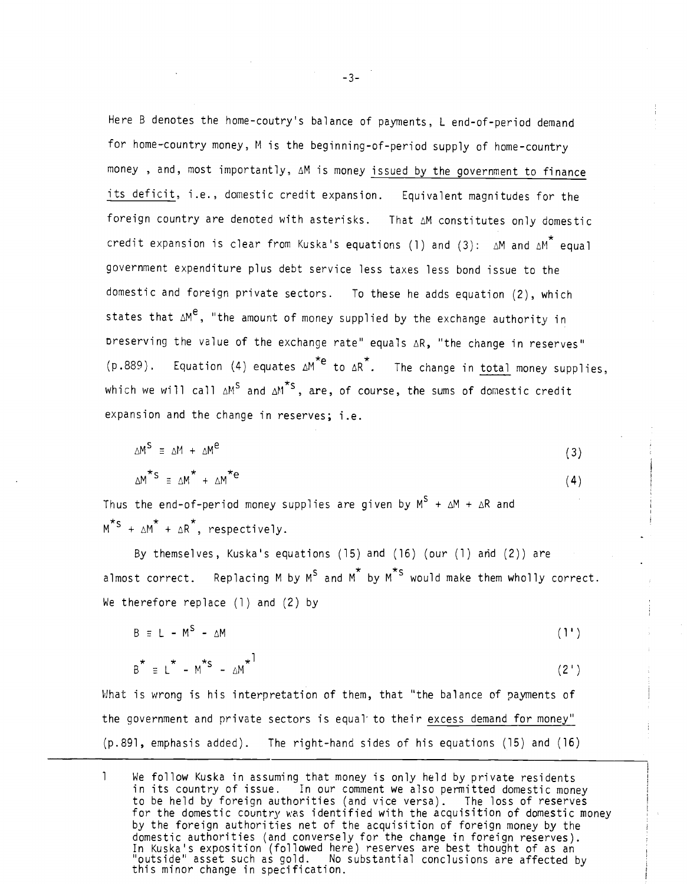Here B denotes the home-coutry's balance of payments, L end-of-period demand for home—country money, M is the beginning-of-period supply of home-country money , and, most importantly, zM is money issued by the government to finance its deficit, i.e., domestic credit expansion. Equivalent magnitudes for the foreign country are denoted with asterisks. That AM constitutes only domestic credit expansion is clear from Kuska's equations (1) and (3):  $\Delta M$  and  $\Delta M^*$  equal government expenditure plus debt service less taxes less bond issue to the domestic and foreign private sectors. To these he adds equation (2), which states that  $\Delta M^e$ , "the amount of money supplied by the exchange authority in Dreserving the value of the exchange rate" equals AR, "the change in reserves" (p.889). Equation (4) equates  $\Delta M^{*e}$  to  $\Delta R^{*}$ . The change in total money supplies, which we will call  $\Delta M^S$  and  $\Delta M^{*S}$ , are, of course, the sums of domestic credit expansion and the change in reserves; i.e.

$$
\Delta M^S \equiv \Delta M + \Delta M^e \tag{3}
$$
\n
$$
\Delta M^* S \equiv \Delta M^* + \Delta M^* e \tag{4}
$$

Thus the end-of-period money supplies are given by  $M^S + \Delta M + \Delta R$  and  $\star$   $\star$   $\star$   $\star$  $M^3 + \Delta M^2 + \Delta R$ , respectively.

By themselves, Kuska's equations (15) and (16) (our (1) ahd (2)) are almost correct. Replacing M by  $M^S$  and  $M^*$  by  $M^*$ <sup>s</sup> would make them wholly correct. We therefore replace (1) and (2) by

$$
B = L - M^S - \Delta M \tag{1'}
$$

$$
B^* \equiv L^* - M^{*S} - \Delta M^{*}
$$
 (2')

What is wrong is his interpretation of them, that "the balance of payments of the government and private sectors is equal to their excess demand for money" (p.891, emphasis added). The right-hand sides of his equations (15) and (16)

 $\mathbf{1}$ We follow Kuska in assuming that money is only held by private residents in its country of issue. In our comment we also permitted domestic money to be held by foreign authorities (and vice versa). The loss of reserves for the domestic country was identified with the acquisition of domestic money by the foreign authorities net of the acquisition of foreign money by the domestic authorities (and conversely for the change in foreign reserves). In Kuska's exposition (followed here) reserves are best thought of as an "outside" asset such as gold. No substantial conclusions are affected by this minor change in specification.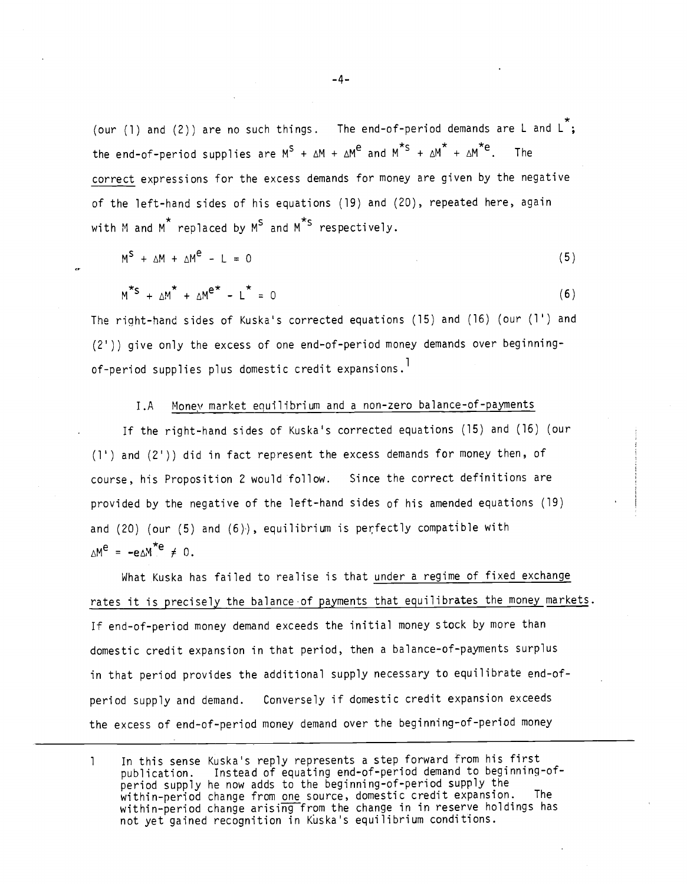(our (1) and (2)) are no such things. The end-of-period demands are L and  $L^{\infty}$ :  $\star$   $\star$   $\star$   $\star$   $\star$   $\star$ the end-of-period supplies are  $M^S$  +  $\Delta M$  +  $\Delta M^2$  and  $M^S$  +  $\Delta M^2$  +  $\Delta M^2$ . The correct expressions for the excess demands for money are given by the negative of the left-hand sides of his equations (19) and (20), repeated here, again with M and  $M^*$  replaced by  $M^S$  and  $M^{*S}$  respectively.

$$
M^S + \Delta M + \Delta M^C - L = 0 \tag{5}
$$

$$
M^{\star S} + \Delta M^{\star} + \Delta M^{e^{\star}} - L^{\star} = 0
$$
 (6)

The riaht-hand sides of Kuska's corrected equations (15) and (16) (our (1') and (2')) give only the excess of one end-of-period money demands over beginningof-period supplies plus domestic credit expansions.<sup>1</sup>

#### l.A Money market equilibrium and a non-zero balance-of-payments

If the right—hand sides of Kuska's corrected equations (15) and (16) (our (1') and (2')) did in fact represent the excess demands for money then, of course, his Proposition 2 would follow. Since the correct definitions are provided by the negative of the left—hand sides of his amended equations (19) and  $(20)$  (our  $(5)$  and  $(6)$ ), equilibrium is perfectly compatible with  $\Delta M^e = -e \Delta M^{\star e} \neq 0$ .

What Kuska has failed to realise is that under a regime of fixed exchange rates it is precisely the balance-of payments that equilibrates the money markets. If end-of-period money demand exceeds the initial money stock by more than domestic credit expansion in that period, then a balance—of—payments surplus in that period provides the additional supply necessary to equilibrate end-ofperiod supply and demand. Conversely if domestic credit expansion exceeds the excess of end-of-period money demand over the beginning-of-period money

1 In this sense Kuska's reply represents a step forward from his first publication. Instead of equating end-of-period demand to beginning-ofperiod supply he now adds to the beginning-of-period supply the within-period change from one source, domestic credit expansion. The within-period change arising from the change in in reserve holdings has not yet gained recognition in Kuska's equilibrium conditions.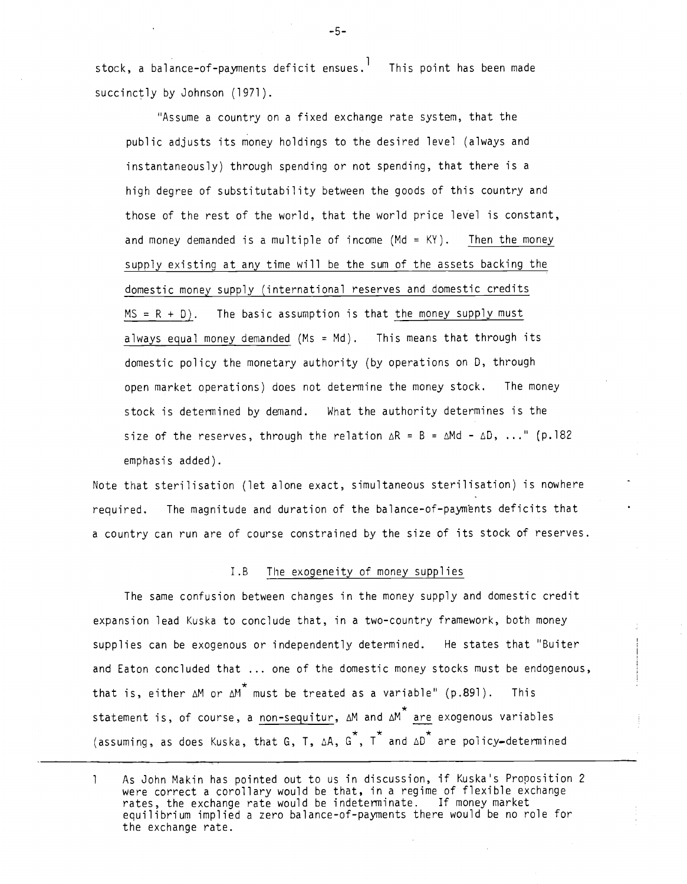stock, a balance-of-payments deficit ensues.<sup>1</sup> This point has been made succinctly by Johnson (1971).

'Assume a country on a fixed exchange rate system, that the public adjusts its money holdings to the desired level (always and instantaneously) through spending or not spending, that there is a high degree of substitutability between the goods of this country and those of the rest of the world, that the world price level is constant, and money demanded is a multiple of income  $(Md = KY)$ . Then the money supply existing at any time will be the sum of the assets backing the domestic money supply (international reserves and domestic credits  $MS = R + D$ ). The basic assumption is that the money supply must always equal money demanded  $(Ms = Md)$ . This means that through its domestic policy the monetary authority (by operations on D, through open market operations) does not determine the money stock. The money stock is determined by demand. What the authority determines is the size of the reserves, through the relation  $\Delta R = B = \Delta M d - \Delta D$ , ..." (p.182) emphasis added).

Note that sterilisation (let alone exact, simultaneous sterilisation) is nowhere required. The magnitude and duration of the balance-of-payments deficits that a country can run are of course constrained by the size of its stock of reserves.

#### I.B The exogeneity of money supplies

The same confusion between changes in the money supply and domestic credit expansion lead Kuska to conclude that, in a two-country framework, both money supplies can be exogenous or independently determined. He states that "Buiter and Eaton concluded that ... one of the domestic money stocks must be endogenous, that is, either  $\Delta$ M or  $\Delta$ M  $^{\star}$  must be treated as a variable" (p.891). This statement is, of course, a non-sequitur,  $\Delta M$  and  $\Delta M$  are exogenous variables 。<br>★ <sub>★</sub>★ ★ <sub>→</sub> (assuming, as does Kuska, that G, T, AA, C , <sup>T</sup> and AD are policy—determined

—5—

<sup>1</sup> As John Makin has pointed out to us in discussion, if Kuska's Proposition 2 were correct a corollary would be that, in a regime of flexible exchange rates, the exchange rate would be indeterminate. If money market equilibrium implied a zero balance—of-payments there would be no role for the exchange rate.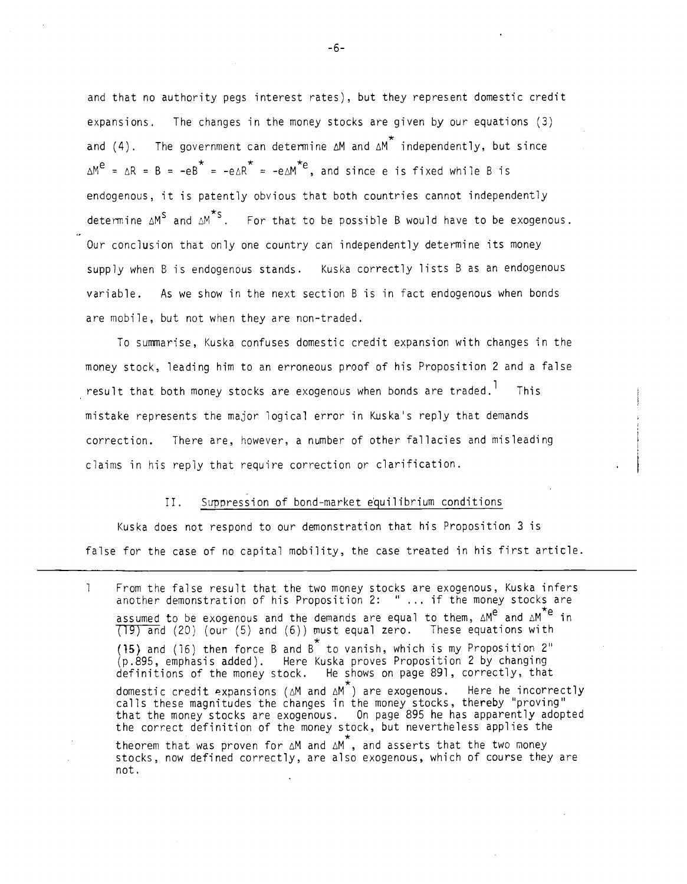and that no authority pegs interest rates), but they represent domestic credit expansions. The changes in the money stocks are given by our equations (3) and (4). The government can determine  $\Delta M$  and  $\Delta M$  independently, but since e \* \* \*  $\Delta M^c = \Delta R = B = -eB = -e\Delta R = -e\Delta M^c$ , and since e is fixed while B is endogenous, it is patently obvious that both countries cannot independently determine  $\Delta M^S$  and  $\Delta M^*S$ . For that to be possible B would have to be exogenous. Our conclusion that only one country can independently determine its money supply when B is endogenous stands. Kuska correctly lists B as an endogenous variable. As we show in the next section B is in fact endogenous when bonds are mobile, but not when they are non-traded.

To sumarise, Kuska confuses domestic credit expansion with changes in the money stock, leading him to an erroneous proof of his Proposition 2 and a false result that both money stocks are exogenous when bonds are traded.<sup>1</sup> This mistake represents the major logical error in Kuska's reply that demands correction. There are, however, a number of other fallacies and misleading claims in his reply that require correction or clarification.

## II. Suppression of bond-market equilibrium conditions

Kuska does not respond to our demonstration that his Proposition 3 is false for the case of no capital mobility, the case treated in his first article.

<sup>1</sup> From the false result that the two money stocks are exogenous, Kuska infers another demonstration of his Proposition 2: " ... if the money stocks are assumed to be exogenous and the demands are equal to them,  $\Delta M^{e}$  and  $\Delta M^{*e}$  in  $(19)$  and (20) (our (5) and (6)) must equal zero. These equations with  $\star$  . The set of  $\mathbb{R}^n$ (15) and (16) then force B and B to vanish, which is my Proposition 2' (p.895, emphasis added). Here Kuska proves Proposition 2 by changing definitions of the money stock. He shows on page 891, correctly, that domestic credit expansions ( $\Delta M$  and  $\Delta M$ <sup>\*</sup>) are exogenous. Here he incorrectly calls these magnitudes the changes in the money stocks, thereby "proving" that the money stocks are exogenous. On page 895 he has apparently adopted the correct definition of the money stock, but nevertheless applies the theorem that was proven for  $\Delta M$  and  $\Delta M^*$ , and asserts that the two money stocks, now defined correctly, are also exogenous, which of course they are not.

-6-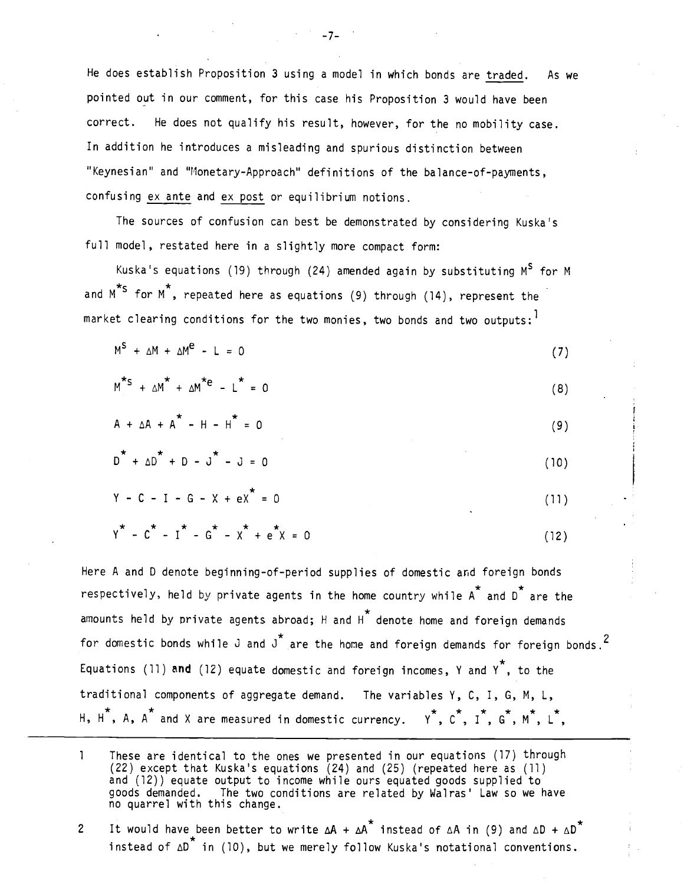He does establish Proposition 3 using a model in which bonds are traded. As we pointed out in our comment, for this case his Proposition 3 would have been correct. He does not qualify his result, however, for the no mobility case. In addition he introduces a misleading and spurious distinction between "Keynesian" and "Monetary-Approach" definitions of the balance-of-payments, confusing ex ante and ex post or equilibrium notions.

The sources of confusion can best be demonstrated by considering Kuska's full model, restated here in a slightly more compact form:

Kuska's equations (19) through (24) amended again by substituting  $M^S$  for M and M<sup>\*S</sup> for M<sup>\*</sup>, repeated here as equations (9) through (14), represent the market clearing conditions for the two monies, two bonds and two outputs:

$$
M^S + \Delta M + \Delta M^C - L = 0 \tag{7}
$$

 $M^*S + \Delta M^* + \Delta M^* = L^* = 0$  (8)

$$
A + \Delta A + A^* - H - H^* = 0
$$
 (9)

$$
D^{\uparrow} + \Delta D^{\uparrow} + D - J^{\uparrow} - J = 0 \tag{10}
$$

$$
Y - C - I - G - X + eX^* = 0
$$
 (11)

$$
Y^* - C^* - I^* - G^* - X^* + e^*X = 0
$$
 (12)

Here A and 0 denote beginning-of-period supplies of domestic and foreign bonds  $\star$   $\star$ respectively, held by private agents in the home country while A $\hat{\ }$  and D $\hat{\ }$  are the  $\star$ amounts held by private agents abroad; H and H $\,$  denote home and foreign demands for domestic bonds while J and  $J^*$  are the home and foreign demands for foreign bonds.<sup>2</sup> Equations (11) and (12) equate domestic and foreign incomes, Y and Y<sup>7</sup>, to the traditional components of aggregate demand. The variables Y, C, I, G, M, L, H,  $H^*$ , A, A<sup>\*</sup> and X are measured in domestic currency. Y<sup>\*</sup>, C<sup>\*</sup>, I<sup>\*</sup>, G<sup>\*</sup>, M<sup>\*</sup>, L<sup>\*</sup>,

- $\mathbf{1}$ These are identical to the ones we presented in our equations (I/) through (22) except that Kuska's equations (24) and (25) (repeated here as (11) and (12)) equate output to income while ours equated goods supplied to goods demanded. The two conditions are related by Wairas' Law so we have no quarrel with this change.
- 2 It would have been better to write  $\Delta A + \Delta A^*$  instead of  $\Delta A$  in (9) and  $\Delta D + \Delta D^*$ instead of  $\Delta D^*$  in (10), but we merely follow Kuska's notational conventions.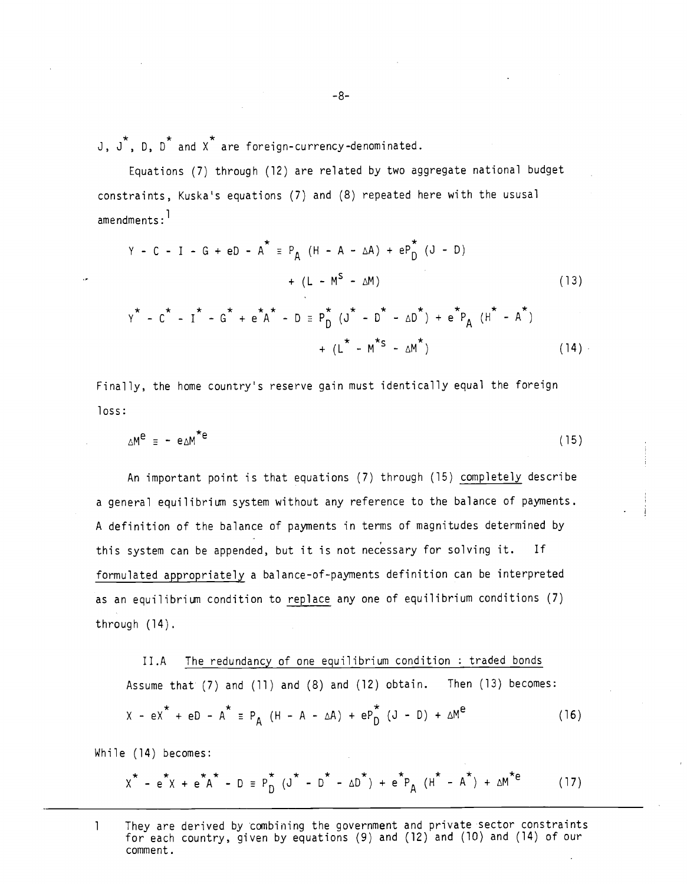$J$ ,  $J^*$ ,  $D$ ,  $D^*$  and  $X^*$  are foreign-currency-denominated.

Equations (7) through (12) are related by two aggregate national budget constraints, Kuska's equations (7) and (8) repeated here with the ususal amendments:

$$
Y - C - I - G + eD - A^{*} = P_{A} (H - A - \Delta A) + eP_{D}^{*} (J - D)
$$
  
+ 
$$
(L - M^{S} - \Delta M)
$$
  
+ 
$$
(\Delta A^{*} - C^{*} - I^{*} - G^{*} + e^{*}A^{*} - D = P_{D}^{*} (J^{*} - D^{*} - \Delta D^{*}) + e^{*}P_{A} (H^{*} - A^{*})
$$
  
+ 
$$
(\Delta^{*} - M^{*S} - \Delta M^{*})
$$
 (14)

Finally, the home country's reserve gain must identically equal the foreign loss:

$$
\Delta M^e = -e \Delta M^* e \tag{15}
$$

An important point is that equations (7) through (15) completely describe a general equilibrium system without any reference to the balance of payments. A definition of the balance of payments in terms of magnitudes determined by this system can be appended, but it is not necessary for solving it. If formulated appropriately a balance-of-payments definition can be interpreted as an equilibrium condition to replace any one of equilibrium conditions (7) through (14).

II.A The redundancy of one equilibrium condition : traded bonds Assume that (7) and (11) and (8) and (12) obtain. Then (13) becomes:  $X - eX^* + eD - A^* \equiv P_A (H - A - \Delta A) + eP_D (J - D) + \Delta M^e$  (16)

While (14) becomes:

$$
X^* - e^*X + e^*A^* - D \equiv P_D^* (J^* - D^* - \Delta D^*) + e^*P_A (H^* - A^*) + \Delta M^* = (17)
$$

<sup>1</sup> They are derived by combining the government and private sector constraints for each country, given by equations (9) and (12) and (10) and (14) of our comment.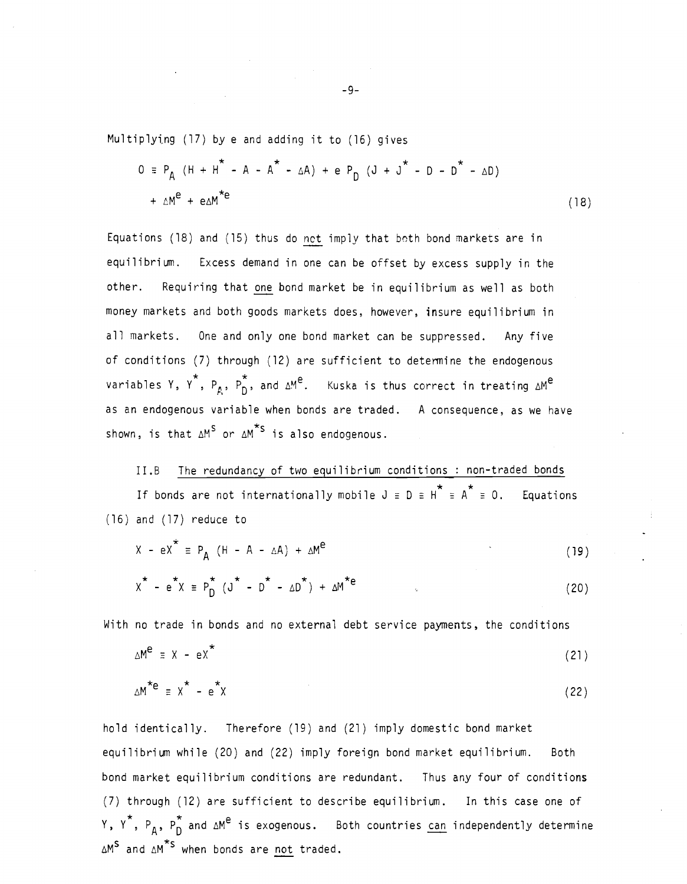Multiplying (17) by e and adding it to (16) gives

$$
0 = P_{A} (H + H^{*} - A - A^{*} - \Delta A) + e P_{D} (J + J^{*} - D - D^{*} - \Delta D)
$$
  
+  $\Delta M^{e} + e \Delta M^{*e}$  (18)

Equations (18) and (15) thus do not imply that both bond markets are in equilibrium. Excess demand in one can be offset by excess supply in the other. Requiring that one bond market be in equilibrium as well as both money markets and both goods markets does, however, insure equilibrium in all markets. One and only one bond market can be suppressed. Any five of conditions (7) through (12) are sufficient to determine the endogenous variables Y, Y<sup>\*</sup>, P<sub>A</sub>, P<sub>D</sub>, and  $\Delta M^e$ . Kuska is thus correct in treating  $\Delta M^e$ as an endogenous variable when bonds are traded. A consequence, as we have shown, is that  $\Delta M^S$  or  $\Delta M^*$  is also endogenous.

II.B The redundancy of two equilibrium conditions : non-traded bonds If bonds are not internationally mobile  $J = D = H^* = A^* = 0$ . Equations (16) and (17) reduce to

$$
X - eX^2 \equiv P_A (H - A - \Delta A) + \Delta M^e
$$
 (19)

$$
X^* - e^*X = P_D^* (J^* - D^* - \Delta D^*) + \Delta M^{*e}
$$
 (20)

With no trade in bonds and no external debt service payments, the conditions

$$
\Delta M^e \equiv X - eX^* \tag{21}
$$

$$
\Delta M^{\star e} \equiv \chi^{\star} - e^{\star} \chi \tag{22}
$$

hold identically. Therefore (19) and (21) imply domestic bond market equilibrium while (20) and (22) imply foreign bond market equilibrium. Both bond market equilibrium conditions are redundant. Thus any four of conditions (7) through (12) are sufficient to describe equilibrium. In this case one of Y,  $Y^*$ ,  $P_A$ ,  $P_D^*$  and  $\Delta M^e$  is exogenous. Both countries can independently determine  $\Delta M^S$  and  $\Delta M^{*S}$  when bonds are not traded.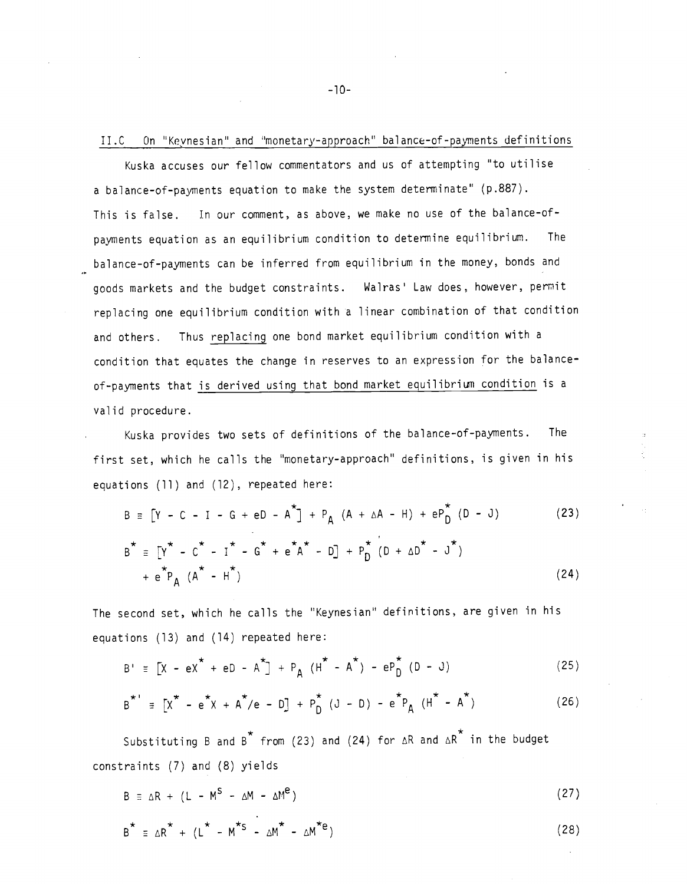## II.C On "Keynesian" and 'monetary-approach' balance-of-payments definitions

Kuska accuses our fellow commentators and us of attempting 'to utilise a balance-of—payments equation to make the system determinate" (p.887). This is false. In our comment, as above, we make no use of the balance-ofpayments equation as an equilibrium condition to determine equilibrium. The balance-of-payments can be inferred from equilibrium in the money, bonds and goods markets and the budget constraints. Wairas' Law does, however, permit replacing one equilibrium condition with a linear combination of that condition and others. Thus replacing one bond market equilibrium condition with a condition that equates the change in reserves to an expression for the balanceof—payments that is derived using that bond market equilibrium condition is a valid procedure.

Kuska provides two sets of definitions of the balance-of-payments. The first set, which he calls the "monetary-approach" definitions, is given in his equations (11) and (12), repeated here:

$$
B = [Y - C - I - G + eD - A^{*}] + P_{A} (A + \Delta A - H) + eP_{D}^{*} (D - J)
$$
(23)  

$$
B^{*} = [Y^{*} - C^{*} - I^{*} - G^{*} + e^{*}A^{*} - D] + P_{D}^{*} (D + \Delta D^{*} - J^{*})
$$

$$
+ e^{*}P_{A} (A^{*} - H^{*})
$$
(24)

The second set, which he calls the "Keynesian" definitions, are given in his equations (13) and (14) repeated here:

$$
B' \equiv [X - eX^* + eD - A^*] + P_A (H^* - A^*) - eP_D^* (D - J)
$$
 (25)

$$
B^{\star} = [X^{\star} - e^{\star}X + A^{\star}/e - D] + P_{D}^{\star} (J - D) - e^{\star}P_{A} (H^{\star} - A^{\star})
$$
 (26)

Substituting B and B<sup>\*</sup> from (23) and (24) for  $\Delta R$  and  $\Delta R$ <sup>\*</sup> in the budget constraints (7) and (8) yields

 $B = \Delta R + (L - M^S - \Delta M - \Delta M^e)$  (27)

$$
B^{\star} = \Delta R^{\star} + (L^{\star} - M^{\star S} - \Delta M^{\star} - \Delta M^{\star e})
$$
 (28)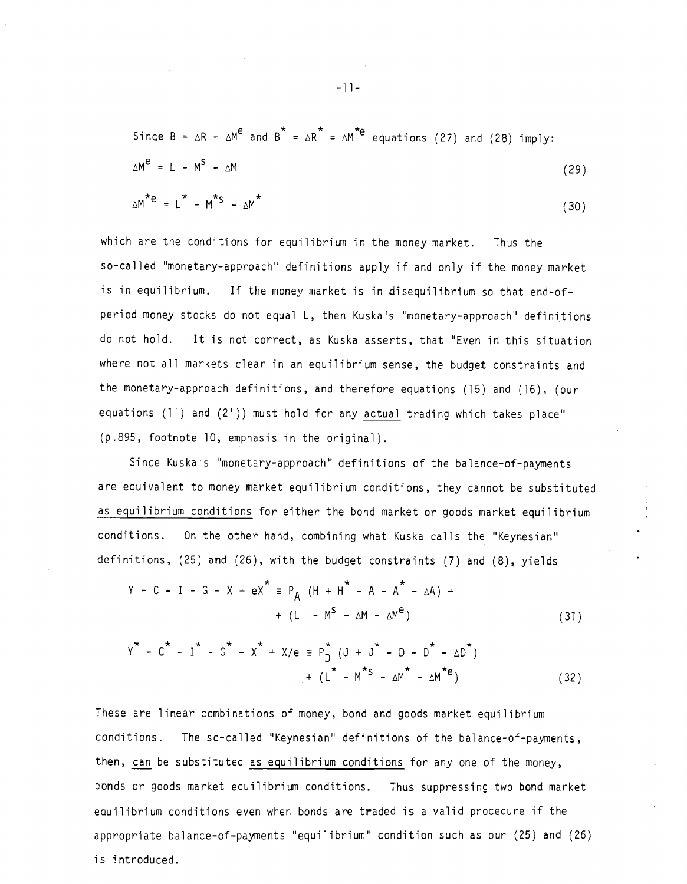Since 
$$
B = \Delta R = \Delta M^e
$$
 and  $B^* = \Delta R^* = \Delta M^{*e}$  equations (27) and (28) imply:  
\n
$$
\Delta M^e = L - M^s - \Delta M
$$
 (29)

$$
\Delta M^{\star e} = L^{\star} - M^{\star S} - \Delta M^{\star}
$$
 (30)

which are the conditions for equilibrium in the money market. Thus the so—called "monetary-approach' definitions apply if and only if the money market is in equilibrium. If the money market is in disequilibrium so that end-of period money stocks do not equal L, then Kuska's "monetary—approach" definitions do not hold. It is not correct, as Kuska asserts, that "Even in this situation where not all markets clear in an equilibrium sense, the budget constraints and the monetary-approach definitions, and therefore equations (15) and (16), (our equations (1') and (2')) must hold for any actual trading which takes place" (p.895, footnote 10, emphasis in the original).

Since Kuska's "monetary-approach" definitions of the balance-of-payments are equivalent to money market equilibrium conditions, they cannot be substituted as equilibrium conditions for either the bond market or goods market equilibrium conditions. On the other hand, combining what Kuska calls the "Keynesian" definitions, (25) and (26), with the budget constraints (7) and (8), yields

$$
Y - C - I - G - X + eX^* \equiv P_A (H + H^* - A - A^* - \Delta A) +
$$
  
+  $(L - M^S - \Delta M - \Delta M^e)$  (31)

$$
Y^* - C^* - I^* - G^* - X^* + X/e \equiv P_D^* (J + J^* - D - D^* - \Delta D^*)
$$
  
+ 
$$
(L^* - M^{*S} - \Delta M^* - \Delta M^{*e})
$$
 (32)

These are linear combinations of money, bond and goods market equilibrium conditions. The so-called "Keynesian" definitions of the balance-of-payments, then, can be substituted as equilibrium conditions for any one of the money, bonds or goods market equilibrium conditions. Thus suppressing two bond market eouilibrium conditions even when bonds are traded is a valid procedure if the appropriate balance—of—payments "equilibrium" condition such as our (25) and (26) is introduced.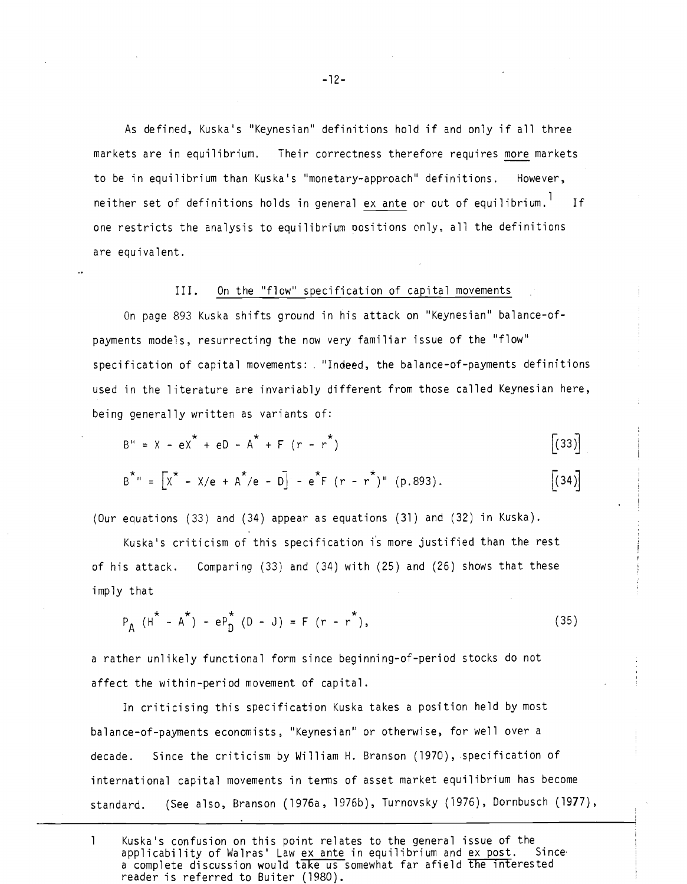As defined, Kuska's "Keynesian' definitions hold if and only if all three markets are in equilibrium. Their correctness therefore requires more markets to be in equilibrium than Kuska's "monetary-approach" definitions. However, neither set of definitions holds in general ex ante or out of equilibrium.<sup>1</sup> If one restricts the analysis to equilibrium positions only, all the definitions are equivalent.

### III. On the "flow" specification of capital movements

On page 893 Kuska shifts ground in his attack on "Keynesian" balance-ofpayments models, resurrecting the now very familiar issue of the "flow" specification of capital movements: "Indeed, the balance-of-payments definitions used in the literature are invariably different from those called Keynesian here, being generally written as variants of:

$$
B'' = X - eX^* + eD - A^* + F (r - r^*)
$$
 (33)

$$
B^{\star_{n}} = [X^{\star} - X/e + A^{\star}/e - D] - e^{\star}F(r - r^{\star})^{n} (p.893).
$$
 (34)

(Our equations (33) and (34) appear as equations (31) and (32) in Kuska).

Kuska's criticism of this specification is more justified than the rest of his attack. Comparing (33) and (34) with (25) and (26) shows that these imply that

$$
P_A (H^* - A^*) - eP_D^* (D - J) = F (r - r^*),
$$
 (35)

a rather unlikely functional form since beginning—of-period stocks do not affect the within-period movement of capital.

In criticising this specification Kuska takes a position held by most balance-of-payments economists, "Keynesian' or otherwise, for well over a decade. Since the criticism by William H. Branson (1970), specification of international capital movements in terms of asset market equilibrium has become standard. (See also, Branson (1976a, 1976b), Turnovsky (1976), Dornbusch (1977),

1 Kuska's confusion on this point relates to the general issue of the<br>applicability of Walras' Law ex ante in equilibrium and ex post. Since applicability of Walras' Law ex ante in equilibrium and ex post. a complete discussion would take us somewhat far afield the interested reader is referred to Buiter (1980).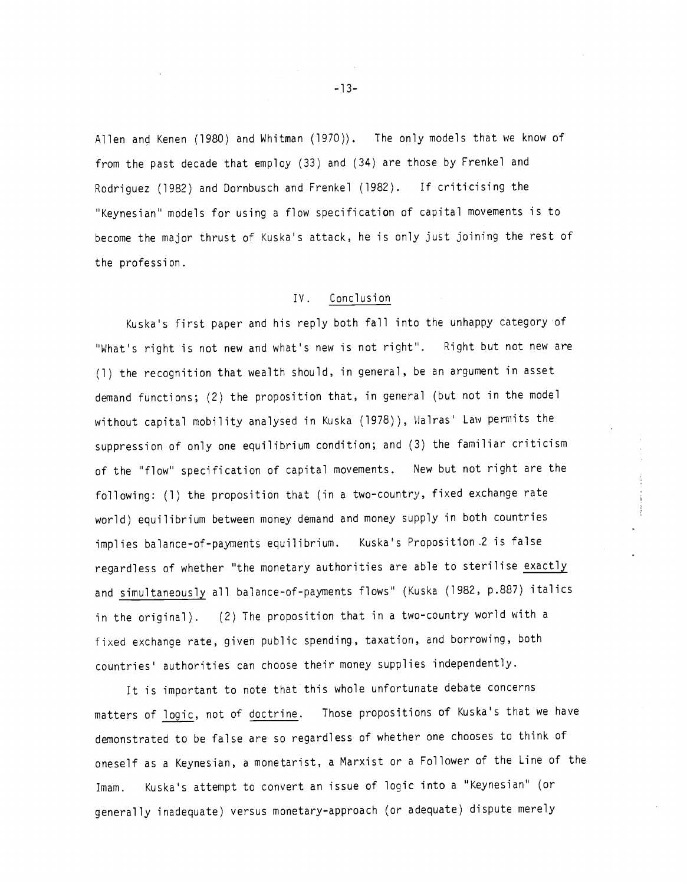Allen and Kenen (1980) and Whitman (1970)). The only models that we know of from the past decade that employ (33) and (34) are those by Frenkel and Rodriguez (1982) and Dornbusch and Frenkel (1982). If criticising the "Keynesian" models for using a flow specification of capital movements is to become the major thrust of Kuska's attack, he is only just joining the rest of the profession.

### IV. Conclusion

Kuska's first paper and his reply both fall into the unhappy category of "What's right is not new and what's new is not right". Right but not new are (1) the recognition that wealth should, in general, be an argument in asset demand functions; (2) the proposition that, in general (but not in the model without capital mobility analysed in Kuska (1978)), Walras' Law permits the suppression of only one equilibrium condition; and (3) the familiar criticism of the "flow" specification of capital movements. New but not right are the following: (1) the proposition that (in a two-country, fixed exchange rate world) equilibrium between money demand and money supply in both countries implies balance-of-payments equilibrium. Kuska's Proposition 2 is false regardless of whether "the monetary authorities are able to sterilise exactly and simultaneously all balance-of-payments flows" (Kuska (1982, p.887) italics in the original). (2) The proposition that in a two-country world with a fixed exchange rate, given public spending, taxation, and borrowing, both countries' authorities can choose their money supplies independently.

It is important to note that this whole unfortunate debate concerns matters of logic, not of doctrine. Those propositions of Kuska's that we have demonstrated to be false are so regardless of whether one chooses to think of oneself as a Keynesian, a monetarist, a Marxist or a Follower of the Line of the Imam. Kuska's attempt to convert an issue of logic into a "Keynesian" (or generally inadequate) versus monetary-approach (or adequate) dispute merely

—13—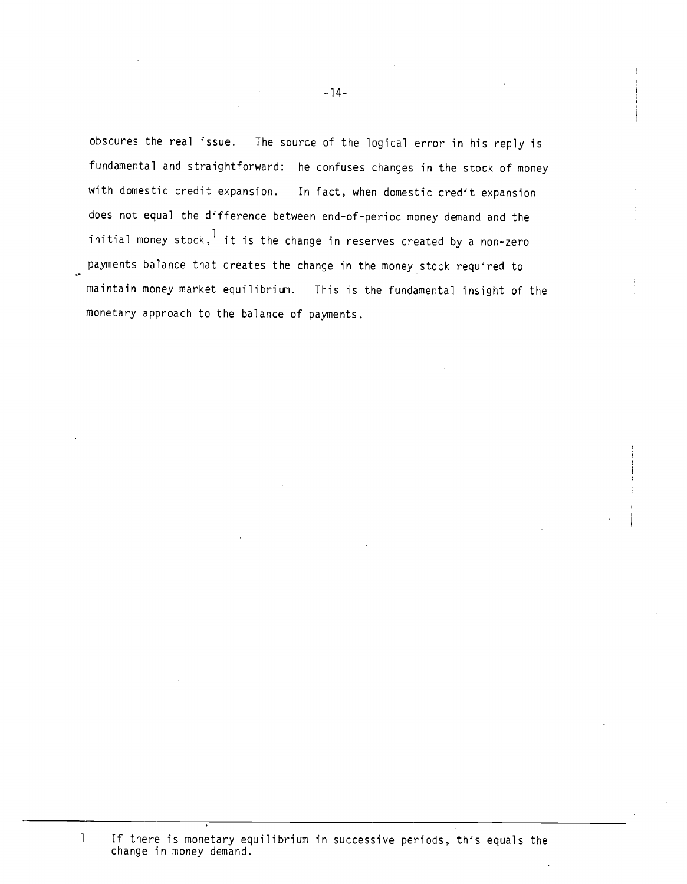obscures the real issue. The source of the logical error in his reply is fundamental and straightforward: he confuses changes in the stock of money with domestic credit expansion. In fact, when domestic credit expansion does not equal the difference between end-of-period money demand and the initial money stock,  $1$  it is the change in reserves created by a non-zero payments balance that creates the change in the money stock required to maintain money market equilibrium. This is the fundamental insight of the monetary approach to the balance of payments.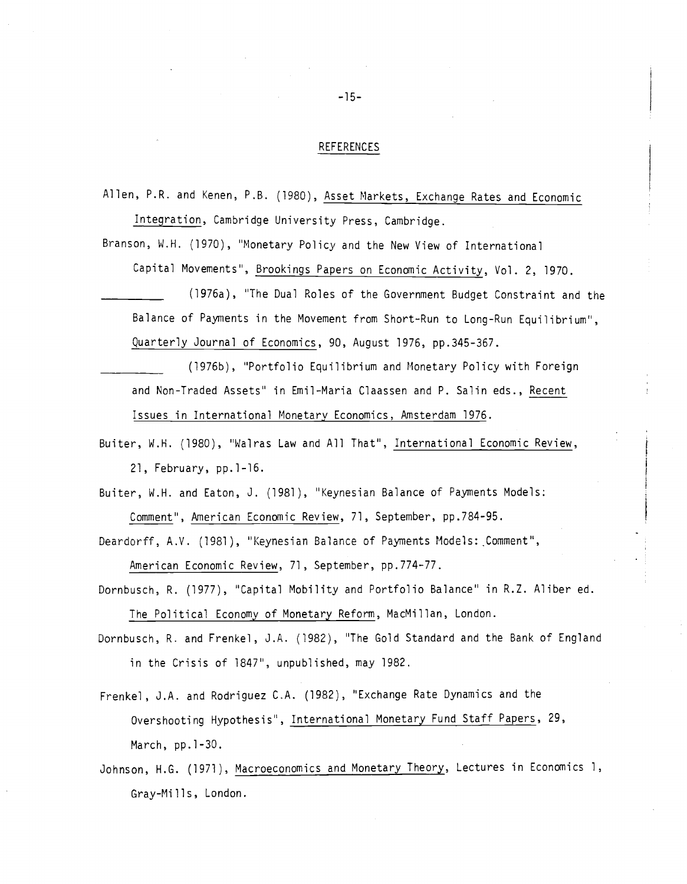#### REFERENCES

Allen, P.R. and Kenen, P.B. (1980), Asset Markets, Exchange Rates and Economic Integration, Cambridge University Press, Cambridge.

Branson, W.H. (1970), "Monetary Policy and the New View of International Capital Movements", Brookings Papers on Economic Activity, Vol. 2, 1970.

\_\_\_\_\_\_\_\_\_\_ (l976a), 'The Dual Roles of the Government Budget Constraint and the Balance of Payments in the Movement from Short—Run to Long-Run Equilibrium", Quarterly Journal of Economics, 90, August 1976, pp.345—367.

- (1976b), "Portfolio Equilibrium and Monetary Policy with Foreign and Non-Traded Assets" in Emil-Maria Claassen and P. Salin eds., Recent Issues in International Monetary Economics, Amsterdam 1976.
- Buiter, W.H. (1980), 'Walras Law and All That", International Economic Review, 21, February, pp.1-16.
- Buiter, W.H. and Eaton, J. (1981), "Keynesian Balance of Payments Models: Comment", American Economic Review, 71, September, pp.784-95.
- Deardorff, A.V. (1981), "Keynesian Balance of Payments Models: Comment", American Economic Review, 71, September, pp.774-77.
- Dornbusch, R. (1977), "Capital Mobility and Portfolio Balance" in R.Z. Aliber ed. The Political Economy of Monetary Reform, MacMillan, London.
- Dornbusch, R. and Frenkel, J.A. (1982), "The Gold Standard and the Bank of England in the Crisis of 1847", unpublished, may 1982.
- Frenkel, J.A. and Rodriguez C.A. (1982), "Exchange Rate Dynamics and the Overshooting Hypothesis', International Monetary Fund Staff Papers, 29, March, pp.1-30.
- Johnson, H.G. (1971), Macroeconomics and Monetary Theory, Lectures in Economics 1, Gray-Mi lls, London.